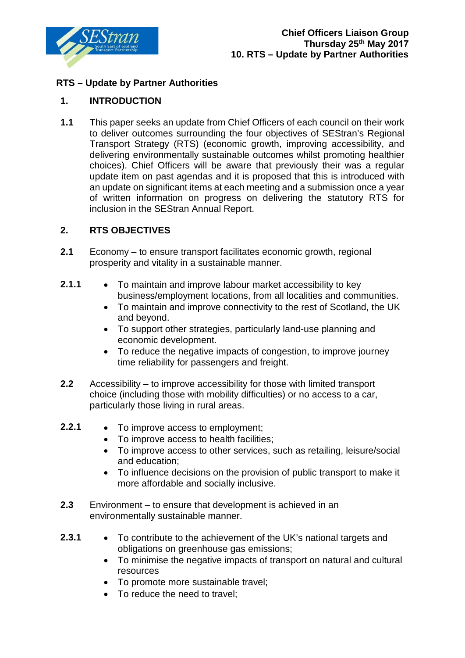

## **RTS – Update by Partner Authorities**

## **1. INTRODUCTION**

**1.1** This paper seeks an update from Chief Officers of each council on their work to deliver outcomes surrounding the four objectives of SEStran's Regional Transport Strategy (RTS) (economic growth, improving accessibility, and delivering environmentally sustainable outcomes whilst promoting healthier choices). Chief Officers will be aware that previously their was a regular update item on past agendas and it is proposed that this is introduced with an update on significant items at each meeting and a submission once a year of written information on progress on delivering the statutory RTS for inclusion in the SEStran Annual Report.

## **2. RTS OBJECTIVES**

- **2.1** Economy to ensure transport facilitates economic growth, regional prosperity and vitality in a sustainable manner.
- **2.1.1** To maintain and improve labour market accessibility to key business/employment locations, from all localities and communities.
	- To maintain and improve connectivity to the rest of Scotland, the UK and beyond.
	- To support other strategies, particularly land-use planning and economic development.
	- To reduce the negative impacts of congestion, to improve journey time reliability for passengers and freight.
- **2.2** Accessibility to improve accessibility for those with limited transport choice (including those with mobility difficulties) or no access to a car, particularly those living in rural areas.
- **2.2.1** To improve access to employment;
	- To improve access to health facilities;
	- To improve access to other services, such as retailing, leisure/social and education;
	- To influence decisions on the provision of public transport to make it more affordable and socially inclusive.
- **2.3** Environment to ensure that development is achieved in an environmentally sustainable manner.
- **2.3.1** To contribute to the achievement of the UK's national targets and obligations on greenhouse gas emissions;
	- To minimise the negative impacts of transport on natural and cultural resources
	- To promote more sustainable travel;
	- To reduce the need to travel;